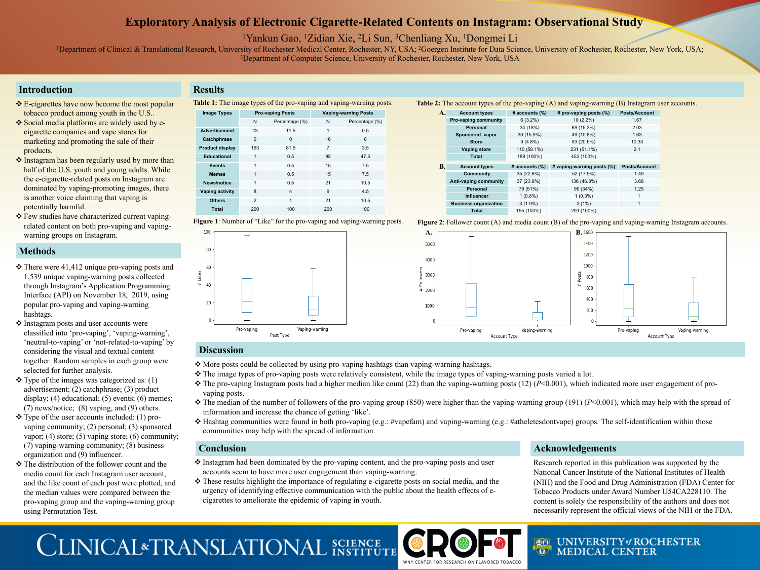## **Exploratory Analysis of Electronic Cigarette-Related Contents on Instagram: Observational Study**

1Yankun Gao, 1Zidian Xie, 2Li Sun, 3Chenliang Xu, 1Dongmei Li

<sup>1</sup>Department of Clinical & Translational Research, University of Rochester Medical Center, Rochester, NY, USA; <sup>2</sup>Goergen Institute for Data Science, University of Rochester, Rochester, New York, USA; <sup>3</sup>Department of Computer Science, University of Rochester, Rochester, New York, USA

## **Methods**





## **Introduction**

## **Conclusion Acknowledgements**

Research reported in this publication was supported by the National Cancer Institute of the National Institutes of Health (NIH) and the Food and Drug Administration (FDA) Center for Tobacco Products under Award Number U54CA228110. The content is solely the responsibility of the authors and does not necessarily represent the official views of the NIH or the FDA.



## **BOL UNIVERSITY** of ROCHESTER **OF MEDICAL CENTER**

- ❖ E-cigarettes have now become the most popular tobacco product among youth in the U.S..
- ❖ Social media platforms are widely used by ecigarette companies and vape stores for marketing and promoting the sale of their products.
- $\triangleq$  Instagram has been regularly used by more than half of the U.S. youth and young adults. While the e-cigarette-related posts on Instagram are dominated by vaping-promoting images, there is another voice claiming that vaping is potentially harmful.
- ❖ Few studies have characterized current vapingrelated content on both pro-vaping and vapingwarning groups on Instagram.

- $\cdot$  There were 41,412 unique pro-vaping posts and 1,539 unique vaping-warning posts collected through Instagram's Application Programming Interface (API) on November 18, 2019, using popular pro-vaping and vaping-warning hashtags.
- ❖ Instagram posts and user accounts were classified into 'pro-vaping', 'vaping-warning', 'neutral-to-vaping' or 'not-related-to-vaping' by considering the visual and textual content together. Random samples in each group were selected for further analysis.
- $\cdot$  Type of the images was categorized as: (1) advertisement; (2) catchphrase; (3) product display; (4) educational; (5) events; (6) memes; (7) news/notice; (8) vaping, and (9) others.
- $\cdot$  Type of the user accounts included: (1) provaping community; (2) personal; (3) sponsored vapor; (4) store; (5) vaping store; (6) community; (7) vaping-warning community; (8) business organization and (9) influencer.
- **❖** The distribution of the follower count and the media count for each Instagram user account, and the like count of each post were plotted, and the median values were compared between the pro-vaping group and the vaping-warning group using Permutation Test.

## **Results**

- \* More posts could be collected by using pro-vaping hashtags than vaping-warning hashtags.
- v The image types of pro-vaping posts were relatively consistent, while the image types of vaping-warning posts varied a lot.
- vaping posts.
- information and increase the chance of getting 'like'.
- communities may help with the spread of information.

- \* Instagram had been dominated by the pro-vaping content, and the pro-vaping posts and user accounts seem to have more user engagement than vaping-warning.
- \* These results highlight the importance of regulating e-cigarette posts on social media, and the urgency of identifying effective communication with the public about the health effects of ecigarettes to ameliorate the epidemic of vaping in youth.

# CLINICAL<sup>\*</sup>TRANSLATIONAL SCIENCE

v The pro-vaping Instagram posts had a higher median like count (22) than the vaping-warning posts (12) (*P*<0.001), which indicated more user engagement of pro-

v The median of the number of followers of the pro-vaping group (850) were higher than the vaping-warning group (191) (*P*<0.001), which may help with the spread of

v Hashtag communities were found in both pro-vaping (e.g.: #vapefam) and vaping-warning (e.g.: #atheletesdontvape) groups. The self-identification within those

**Table 1:** The image types of the pro-vaping and vaping-warning posts.

### **Discussion**

| <b>Image Types</b>     | <b>Pro-vaping Posts</b> |                | <b>Vaping-warning Posts</b> |                |
|------------------------|-------------------------|----------------|-----------------------------|----------------|
|                        | N                       | Percentage (%) | N                           | Percentage (%) |
| <b>Advertisement</b>   | 23                      | 11.5           | 1                           | 0.5            |
| <b>Catchphrase</b>     | $\Omega$                | 0              | 16                          | 8              |
| <b>Product display</b> | 163                     | 81.5           | $\overline{7}$              | 3.5            |
| <b>Educational</b>     | 1                       | 0.5            | 95                          | 47.5           |
| <b>Events</b>          | 1                       | 0.5            | 15                          | 7.5            |
| <b>Memes</b>           | 1                       | 0.5            | 15                          | 7.5            |
| <b>News/notice</b>     | 1                       | 0.5            | 21                          | 10.5           |
| <b>Vaping activity</b> | 8                       | $\overline{4}$ | 9                           | 4.5            |
| <b>Others</b>          | $\mathcal{P}$           | 1              | 21                          | 10.5           |
| <b>Total</b>           | 200                     | 100            | 200                         | 100            |



**Figure 2**: Follower count (A) and media count (B) of the pro-vaping and vaping-warning Instagram accounts.